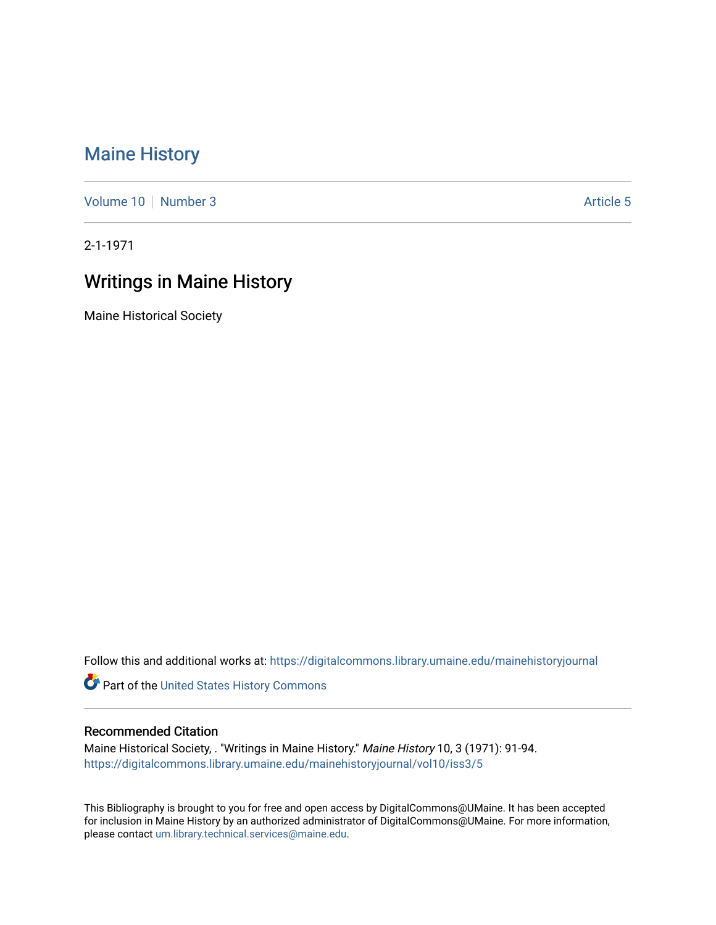## [Maine History](https://digitalcommons.library.umaine.edu/mainehistoryjournal)

[Volume 10](https://digitalcommons.library.umaine.edu/mainehistoryjournal/vol10) [Number 3](https://digitalcommons.library.umaine.edu/mainehistoryjournal/vol10/iss3) Article 5

2-1-1971

## Writings in Maine History

Maine Historical Society

Follow this and additional works at: [https://digitalcommons.library.umaine.edu/mainehistoryjournal](https://digitalcommons.library.umaine.edu/mainehistoryjournal?utm_source=digitalcommons.library.umaine.edu%2Fmainehistoryjournal%2Fvol10%2Fiss3%2F5&utm_medium=PDF&utm_campaign=PDFCoverPages) 

Part of the [United States History Commons](http://network.bepress.com/hgg/discipline/495?utm_source=digitalcommons.library.umaine.edu%2Fmainehistoryjournal%2Fvol10%2Fiss3%2F5&utm_medium=PDF&utm_campaign=PDFCoverPages) 

## Recommended Citation

Maine Historical Society, . "Writings in Maine History." Maine History 10, 3 (1971): 91-94. [https://digitalcommons.library.umaine.edu/mainehistoryjournal/vol10/iss3/5](https://digitalcommons.library.umaine.edu/mainehistoryjournal/vol10/iss3/5?utm_source=digitalcommons.library.umaine.edu%2Fmainehistoryjournal%2Fvol10%2Fiss3%2F5&utm_medium=PDF&utm_campaign=PDFCoverPages)

This Bibliography is brought to you for free and open access by DigitalCommons@UMaine. It has been accepted for inclusion in Maine History by an authorized administrator of DigitalCommons@UMaine. For more information, please contact [um.library.technical.services@maine.edu.](mailto:um.library.technical.services@maine.edu)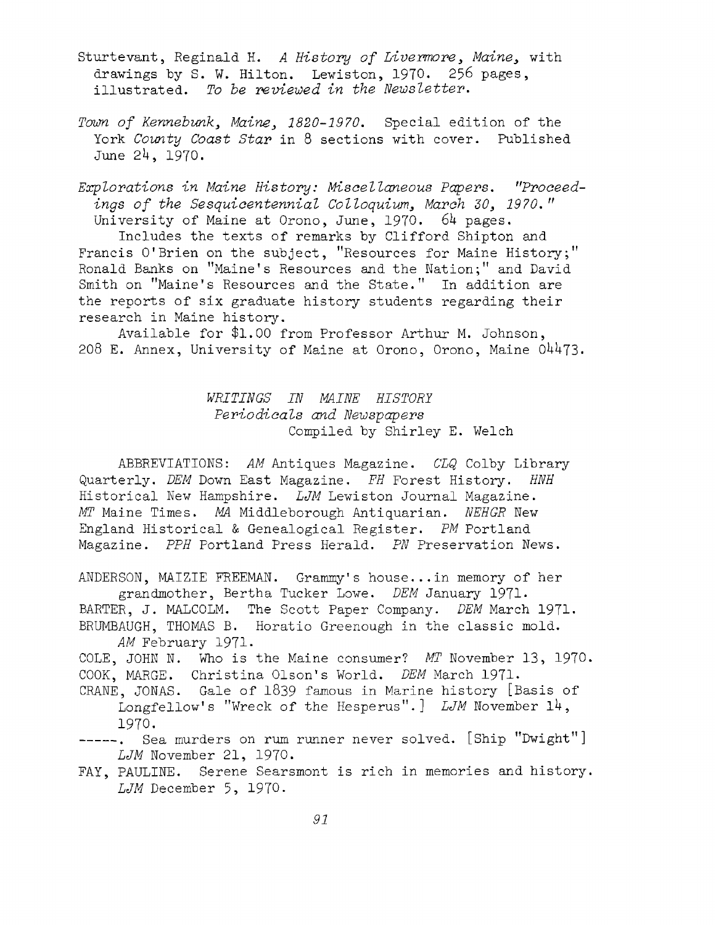- Sturtevant, Reginald H. *<sup>A</sup> History of Livermore, Maine,* with drawings by S. W. Hilton. Lewiston, 1970. 256 pages, illustrated. *To be reviewed in the Newsletter.*
- *Town of Kennebunk, Maine, 1820-1970.* Special edition of the York *County Coast Star* in <sup>8</sup> sections with cover. Published June  $24, 1970.$

*Explorations in Maine History: Miscellaneous Papers. "Proceedings of the Sesquicentennial Colloquium, March 30, 1970. "* University of Maine at Orono, June, 1970. 64 pages.

Includes the texts of remarks by Clifford Shipton and Francis O'Brien on the subject, ''Resources for Maine History;" Ronald Banks on ''Maine's Resources and the Nation;'' and David Smith on "Maine's Resources and the State." In addition are the reports of six graduate history students regarding their research in Maine history.

Available for \$1.00 from Professor Arthur M. Johnson, 208 E. Annex, University of Maine at Orono, Orono, Maine  $04473$ .

> *WHITINGS IN MAINE HISTORY Periodicals and Newspapers* Compiled by Shirley E. Welch

ABBREVIATIONS: *AM* Antiques Magazine. *CLQ* Colby Library Quarterly. *DEM* Down East Magazine. *FH* Forest History. *HNH* Historical New Hampshire. *LJM* Lewiston Journal Magazine. *MT* Maine Times. *MA* Middleborough Antiquarian. *NEHGR* New England Historical & Genealogical Register. *PM* Portland Magazine. *PPH* Portland Press Herald. *PN* Preservation News.

ANDERSON, MAIZIE FREEMAN. Grammy's house...in memory of her grandmother, Bertha Tucker Lowe. *DEM* January 1971\* BARTER, J. MALCOLM. The Scott Paper Company. *DEM* March 1971. BRUMBAUGH, THOMAS B. Horatio Greenough in the classic mold. *AM* February 1971.

COLE, JOHN N. Who is the Maine consumer? *MT* November 13, 1970. COOK, MARGE. Christina Olson's World. *DEM* March 1971.

CRANE, JONAS. Gale of <sup>1839</sup> famous in Marine history [Basis of Longfellow's "Wreck of the Hesperus".] *LJM* November 14, 197°.

- -----. Sea murders on rum runner never solved. [Ship "Dwight"] *LJM* November 21, 1970.
- FAY, PAULINE. Serene Searsmont is rich in memories and history. *LJM* December 5, 1970.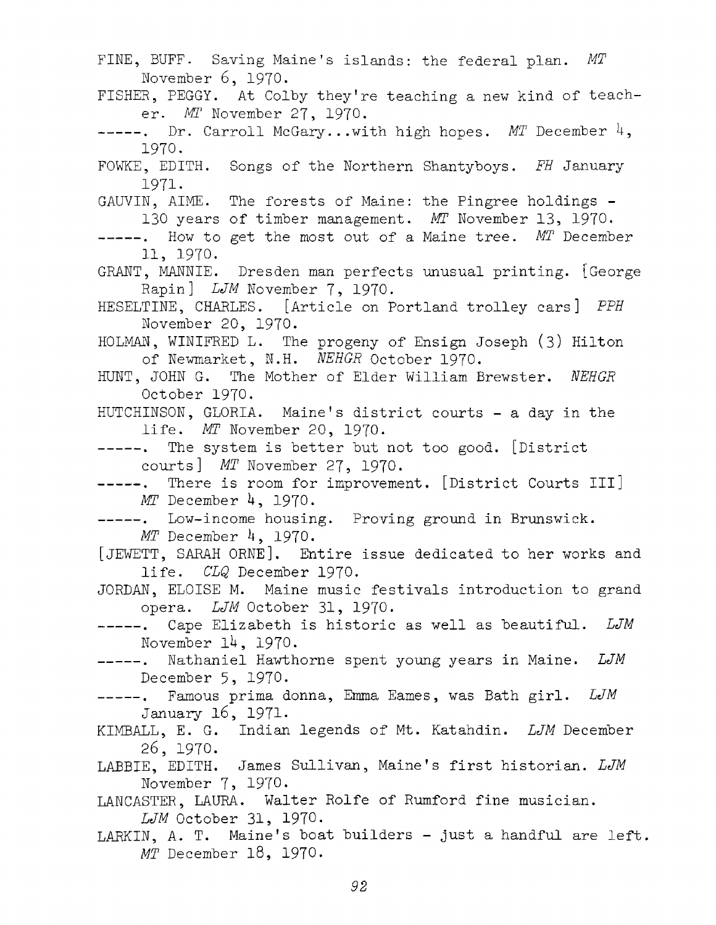FINE, BUFF. Saving Maine's islands: the federal plan. *MT* November 6, 1970. FISHER, PEGGY. At Colby they're teaching <sup>a</sup> new kind of teacher. *MT* November 27, 1970. -----. Dr. Carroll McGary...with high hopes. *MT* December 4, 1970. FOWKE, EDITH. Songs of the Northern Shantyboys. *FH* January 1971. GAUVIN, AIME. The forests of Maine: the Pingree holdings - <sup>130</sup> years of timber management. *MT* November 13, 1970. -----. How to get the most out of a Maine tree. MT December 11, 1970. GRANT, MANNIE. Dresden man perfects unusual printing. [George Rapin] *LJM* November 7, 1970. HESELTINE, CHARLES. [Article on Portland trolley cars] *PPH* November 20, 1970. HOLMAN, WINIFRED L. The progeny of Ensign Joseph (3) Hilton of Newmarket, N.H. *1GEHGR* October 1970. HUNT, JOHN G. The Mother of Elder William Brewster. *NEHGR* October 1970. HUTCHINSON, GLORIA. Maine'<sup>s</sup> district courts - <sup>a</sup> day in the life. *MT* November 20, 1970. -----. The system is better but not too good. [District courts] *MT* November 27, 1970. -----. There is room for improvement. [District Courts III] *MT* December 4, 1970. -----. Low-income housing. Proving ground in Brunswick. *MT* December 4, 1970. [JEWETT, SARAH ORNE], Entire issue dedicated to her works and life. *CLQ* December 1970. JORDAN, ELOISE M. Maine music festivals introduction to grand opera. *LJM* October 31, 1970. Cape Elizabeth is historic as well as beautiful. *LJM* November  $14$ ,  $1970$ . Nathaniel Hawthorne spent young years in Maine. *LJM*  $----$ . December 5, 1970. Famous prima donna, Emma Eames, was Bath girl. *LJM* January 16, 1971- KIMBALL, E. G. Indian legends of Mt. Katahdin. *LJM* December 26, 1970. LABBIE, EDITH. James Sullivan, Maine'<sup>s</sup> first historian. *LJM* November 7, 1970. LANCASTER, LAURA. Walter Rolfe of Rumford fine musician. *LJM* October 31, 1970. LARKIN, A. T. Maine'<sup>s</sup> boat builders - just <sup>a</sup> handful are left. *MT* December 18, 1970.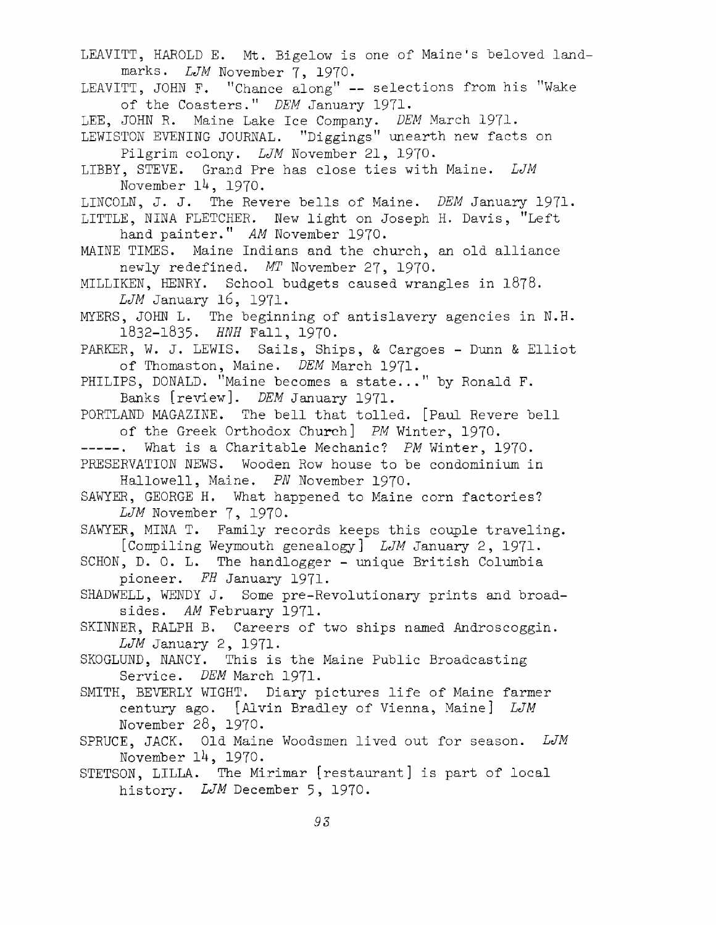LEAVITT, HAROLD E. Mt. Bigelow is one of Maine'<sup>s</sup> beloved landmarks. *LJM* November 7, 1970. LEAVITT, JOHN F. ''Chance along" — selections from his ''Wake of the Coasters." *DEM* January 1971- LEE, JOHN R. Maine Lake Ice Company. *DEM* March 1971. LEWISTON EVENING JOURNAL. ''Diggings" unearth new facts on Pilgrim colony. *LJM* November 21, 1970. LIBBY, STEVE. Grand Pre has close ties with Maine. *LJM* November 14, 1970. LINCOLN, J. J. The Revere bells of Maine. *DEM* January 1971- LITTLE, NINA FLETCHER. New light on Joseph H. Davis, ''Left hand painter." *AM* November 1970. MAINE TIMES. Maine Indians and the church, an old alliance newly redefined. *MT* November 27, 1970. MILLIKEN, HENRY. School budgets caused wrangles in 1878. *LJM* January 16, 1971. MYERS, JOHN L. The beginning of antislavery agencies in N.H. 1832-1835. *HNH* Fall, 1970. PARKER, W. J. LEWIS. Sails, Ships, & Cargoes - Dunn & Elliot of Thomaston, Maine. *DEM* March 1971. PHILIPS, DONALD. ''Maine becomes <sup>a</sup> state..." by Ronald F. Banks [review]. *DEM* January 1971. PORTLAND MAGAZINE. The bell that tolled. [Paul Revere bell of the Greek Orthodox Church] *PM* Winter, 1970. What is a Charitable Mechanic? *PM* Winter, 1970. PRESERVATION NEWS. Wooden Row house to be condominium in Hallowell, Maine. *PN* November 1970. SAWYER, GEORGE H. What happened to Maine corn factories? *LJM* November 7, 1970. SAWYER, MINA T. Family records keeps this couple traveling. [Compiling Weymouth genealogy] *LJM* January 2, 1971. SCHON, D. O. L. The handlogger - unique British Columbia pioneer. *EH* January 1971- SHADWELL, WENDY J. Some pre-Revolutionary prints and broadsides. *AM* February 1971. SKINNER, RALPH B. Careers of two ships named Androscoggin. *LJM* January 2, 1971. SKOGLUND, NANCY. This is the Maine Public Broadcasting Service. *DEM* March 1971. SMITH, BEVERLY WIGHT. Diary pictures life of Maine farmer century ago. [Alvin Bradley of Vienna, Maine] *LJM* November 28, 1970. SPRUCE, JACK. Old Maine Woodsmen lived out for season. *LJM* November 14, 1970. STETSON, LILLA. The Mirimar [restaurant] is part of local history. *LJM* December 5, 1970.